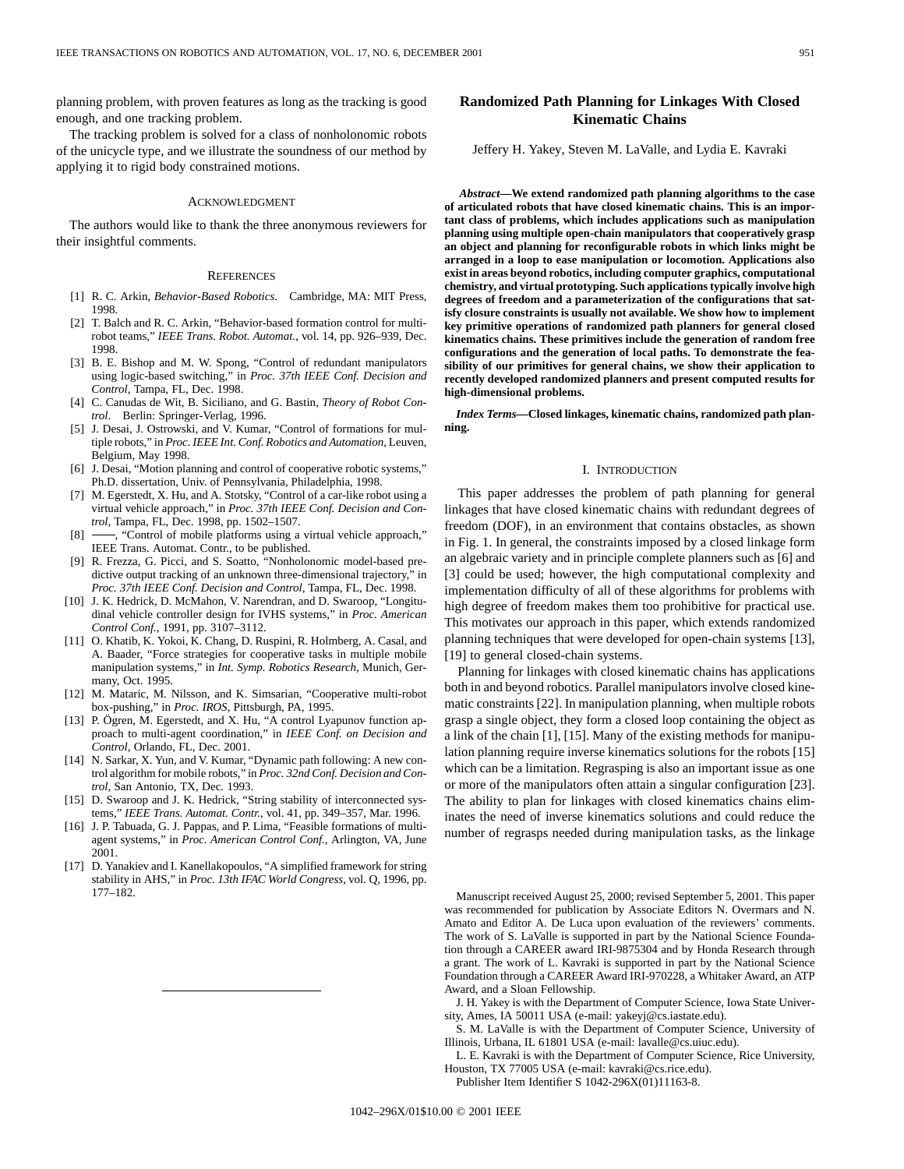planning problem, with proven features as long as the tracking is good enough, and one tracking problem.

The tracking problem is solved for a class of nonholonomic robots of the unicycle type, and we illustrate the soundness of our method by applying it to rigid body constrained motions.

#### ACKNOWLEDGMENT

The authors would like to thank the three anonymous reviewers for their insightful comments.

#### **REFERENCES**

- [1] R. C. Arkin, *Behavior-Based Robotics*. Cambridge, MA: MIT Press, 1998.
- [2] T. Balch and R. C. Arkin, "Behavior-based formation control for multirobot teams," *IEEE Trans. Robot. Automat.*, vol. 14, pp. 926–939, Dec. 1998.
- [3] B. E. Bishop and M. W. Spong, "Control of redundant manipulators" using logic-based switching," in *Proc. 37th IEEE Conf. Decision and Control*, Tampa, FL, Dec. 1998.
- [4] C. Canudas de Wit, B. Siciliano, and G. Bastin, *Theory of Robot Control*. Berlin: Springer-Verlag, 1996.
- [5] J. Desai, J. Ostrowski, and V. Kumar, "Control of formations for multiple robots," in *Proc. IEEE Int. Conf. Robotics and Automation*, Leuven, Belgium, May 1998.
- [6] J. Desai, "Motion planning and control of cooperative robotic systems," Ph.D. dissertation, Univ. of Pennsylvania, Philadelphia, 1998.
- [7] M. Egerstedt, X. Hu, and A. Stotsky, "Control of a car-like robot using a virtual vehicle approach," in *Proc. 37th IEEE Conf. Decision and Control*, Tampa, FL, Dec. 1998, pp. 1502–1507.
- -, "Control of mobile platforms using a virtual vehicle approach," IEEE Trans. Automat. Contr., to be published.
- [9] R. Frezza, G. Picci, and S. Soatto, "Nonholonomic model-based predictive output tracking of an unknown three-dimensional trajectory," in *Proc. 37th IEEE Conf. Decision and Control*, Tampa, FL, Dec. 1998.
- [10] J. K. Hedrick, D. McMahon, V. Narendran, and D. Swaroop, "Longitudinal vehicle controller design for IVHS systems," in *Proc. American Control Conf.*, 1991, pp. 3107–3112.
- [11] O. Khatib, K. Yokoi, K. Chang, D. Ruspini, R. Holmberg, A. Casal, and A. Baader, "Force strategies for cooperative tasks in multiple mobile manipulation systems," in *Int. Symp. Robotics Research*, Munich, Germany, Oct. 1995.
- [12] M. Mataric, M. Nilsson, and K. Simsarian, "Cooperative multi-robot box-pushing," in *Proc. IROS*, Pittsburgh, PA, 1995.
- [13] P. Ögren, M. Egerstedt, and X. Hu, "A control Lyapunov function approach to multi-agent coordination," in *IEEE Conf. on Decision and Control*, Orlando, FL, Dec. 2001.
- [14] N. Sarkar, X. Yun, and V. Kumar, "Dynamic path following: A new control algorithm for mobile robots," in *Proc. 32nd Conf. Decision and Control*, San Antonio, TX, Dec. 1993.
- [15] D. Swaroop and J. K. Hedrick, "String stability of interconnected systems," *IEEE Trans. Automat. Contr.*, vol. 41, pp. 349–357, Mar. 1996.
- [16] J. P. Tabuada, G. J. Pappas, and P. Lima, "Feasible formations of multiagent systems," in *Proc. American Control Conf.*, Arlington, VA, June 2001.
- [17] D. Yanakiev and I. Kanellakopoulos, "A simplified framework for string stability in AHS," in *Proc. 13th IFAC World Congress*, vol. Q, 1996, pp. 177–182.

# **Randomized Path Planning for Linkages With Closed Kinematic Chains**

Jeffery H. Yakey, Steven M. LaValle, and Lydia E. Kavraki

*Abstract—***We extend randomized path planning algorithms to the case of articulated robots that have closed kinematic chains. This is an important class of problems, which includes applications such as manipulation planning using multiple open-chain manipulators that cooperatively grasp an object and planning for reconfigurable robots in which links might be arranged in a loop to ease manipulation or locomotion. Applications also exist in areas beyond robotics, including computer graphics, computational chemistry, and virtual prototyping. Such applications typically involve high degrees of freedom and a parameterization of the configurations that satisfy closure constraints is usually not available. We show how to implement key primitive operations of randomized path planners for general closed kinematics chains. These primitives include the generation of random free configurations and the generation of local paths. To demonstrate the feasibility of our primitives for general chains, we show their application to recently developed randomized planners and present computed results for high-dimensional problems.**

*Index Terms—***Closed linkages, kinematic chains, randomized path planning.**

### I. INTRODUCTION

This paper addresses the problem of path planning for general linkages that have closed kinematic chains with redundant degrees of freedom (DOF), in an environment that contains obstacles, as shown in Fig. 1. In general, the constraints imposed by a closed linkage form an algebraic variety and in principle complete planners such as [6] and [3] could be used; however, the high computational complexity and implementation difficulty of all of these algorithms for problems with high degree of freedom makes them too prohibitive for practical use. This motivates our approach in this paper, which extends randomized planning techniques that were developed for open-chain systems [13], [19] to general closed-chain systems.

Planning for linkages with closed kinematic chains has applications both in and beyond robotics. Parallel manipulators involve closed kinematic constraints [22]. In manipulation planning, when multiple robots grasp a single object, they form a closed loop containing the object as a link of the chain [1], [15]. Many of the existing methods for manipulation planning require inverse kinematics solutions for the robots [15] which can be a limitation. Regrasping is also an important issue as one or more of the manipulators often attain a singular configuration [23]. The ability to plan for linkages with closed kinematics chains eliminates the need of inverse kinematics solutions and could reduce the number of regrasps needed during manipulation tasks, as the linkage

Manuscript received August 25, 2000; revised September 5, 2001. This paper was recommended for publication by Associate Editors N. Overmars and N. Amato and Editor A. De Luca upon evaluation of the reviewers' comments. The work of S. LaValle is supported in part by the National Science Foundation through a CAREER award IRI-9875304 and by Honda Research through a grant. The work of L. Kavraki is supported in part by the National Science Foundation through a CAREER Award IRI-970228, a Whitaker Award, an ATP Award, and a Sloan Fellowship.

J. H. Yakey is with the Department of Computer Science, Iowa State University, Ames, IA 50011 USA (e-mail: yakeyj@cs.iastate.edu).

S. M. LaValle is with the Department of Computer Science, University of Illinois, Urbana, IL 61801 USA (e-mail: lavalle@cs.uiuc.edu).

L. E. Kavraki is with the Department of Computer Science, Rice University, Houston, TX 77005 USA (e-mail: kavraki@cs.rice.edu).

Publisher Item Identifier S 1042-296X(01)11163-8.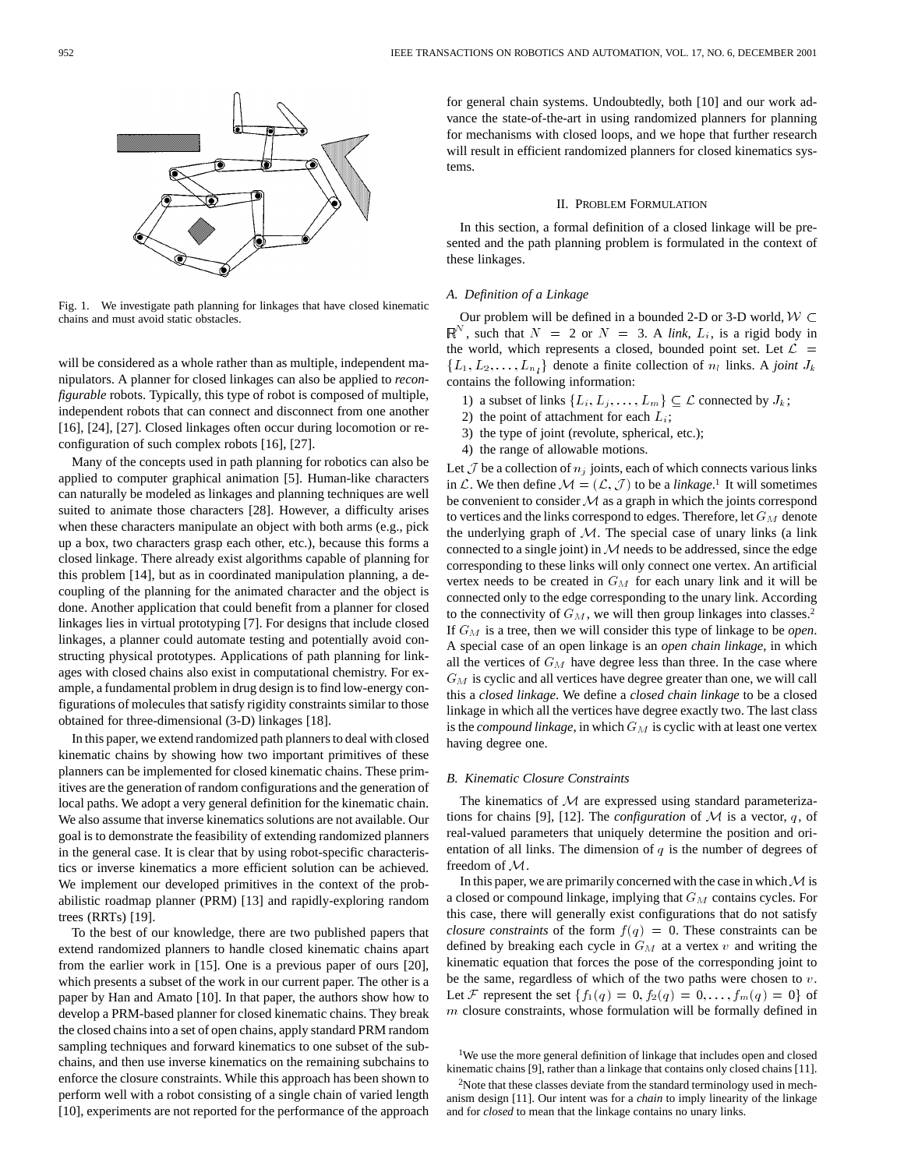

Fig. 1. We investigate path planning for linkages that have closed kinematic chains and must avoid static obstacles.

will be considered as a whole rather than as multiple, independent manipulators. A planner for closed linkages can also be applied to *reconfigurable* robots. Typically, this type of robot is composed of multiple, independent robots that can connect and disconnect from one another [16], [24], [27]. Closed linkages often occur during locomotion or reconfiguration of such complex robots [16], [27].

Many of the concepts used in path planning for robotics can also be applied to computer graphical animation [5]. Human-like characters can naturally be modeled as linkages and planning techniques are well suited to animate those characters [28]. However, a difficulty arises when these characters manipulate an object with both arms (e.g., pick up a box, two characters grasp each other, etc.), because this forms a closed linkage. There already exist algorithms capable of planning for this problem [14], but as in coordinated manipulation planning, a decoupling of the planning for the animated character and the object is done. Another application that could benefit from a planner for closed linkages lies in virtual prototyping [7]. For designs that include closed linkages, a planner could automate testing and potentially avoid constructing physical prototypes. Applications of path planning for linkages with closed chains also exist in computational chemistry. For example, a fundamental problem in drug design is to find low-energy configurations of molecules that satisfy rigidity constraints similar to those obtained for three-dimensional (3-D) linkages [18].

In this paper, we extend randomized path planners to deal with closed kinematic chains by showing how two important primitives of these planners can be implemented for closed kinematic chains. These primitives are the generation of random configurations and the generation of local paths. We adopt a very general definition for the kinematic chain. We also assume that inverse kinematics solutions are not available. Our goal is to demonstrate the feasibility of extending randomized planners in the general case. It is clear that by using robot-specific characteristics or inverse kinematics a more efficient solution can be achieved. We implement our developed primitives in the context of the probabilistic roadmap planner (PRM) [13] and rapidly-exploring random trees (RRTs) [19].

To the best of our knowledge, there are two published papers that extend randomized planners to handle closed kinematic chains apart from the earlier work in [15]. One is a previous paper of ours [20], which presents a subset of the work in our current paper. The other is a paper by Han and Amato [10]. In that paper, the authors show how to develop a PRM-based planner for closed kinematic chains. They break the closed chains into a set of open chains, apply standard PRM random sampling techniques and forward kinematics to one subset of the subchains, and then use inverse kinematics on the remaining subchains to enforce the closure constraints. While this approach has been shown to perform well with a robot consisting of a single chain of varied length [10], experiments are not reported for the performance of the approach for general chain systems. Undoubtedly, both [10] and our work advance the state-of-the-art in using randomized planners for planning for mechanisms with closed loops, and we hope that further research will result in efficient randomized planners for closed kinematics systems.

# II. PROBLEM FORMULATION

In this section, a formal definition of a closed linkage will be presented and the path planning problem is formulated in the context of these linkages.

### *A. Definition of a Linkage*

Our problem will be defined in a bounded 2-D or 3-D world,  $W \subset$  $\mathbb{R}^N$ , such that  $N = 2$  or  $N = 3$ . A *link*,  $L_i$ , is a rigid body in the world, which represents a closed, bounded point set. Let  $\mathcal{L}$  =  $\{L_1, L_2, \ldots, L_{n_l}\}\$  denote a finite collection of  $n_l$  links. A *joint*  $J_k$ contains the following information:

- 1) a subset of links  $\{L_i, L_j, \ldots, L_m\} \subseteq \mathcal{L}$  connected by  $J_k$ ;
- 2) the point of attachment for each  $L_i$ ;
- 3) the type of joint (revolute, spherical, etc.);
- 4) the range of allowable motions.

Let  $\mathcal J$  be a collection of  $n_j$  joints, each of which connects various links in L. We then define  $M = (\mathcal{L}, \mathcal{J})$  to be a *linkage*.<sup>1</sup> It will sometimes be convenient to consider  $M$  as a graph in which the joints correspond to vertices and the links correspond to edges. Therefore, let  $G_M$  denote the underlying graph of  $M$ . The special case of unary links (a link connected to a single joint) in  $M$  needs to be addressed, since the edge corresponding to these links will only connect one vertex. An artificial vertex needs to be created in  $G_M$  for each unary link and it will be connected only to the edge corresponding to the unary link. According to the connectivity of  $G_M$ , we will then group linkages into classes.<sup>2</sup> If  $G_M$  is a tree, then we will consider this type of linkage to be *open*. A special case of an open linkage is an *open chain linkage*, in which all the vertices of  $G_M$  have degree less than three. In the case where  ${\cal G}_M$  is cyclic and all vertices have degree greater than one, we will call this a *closed linkage*. We define a *closed chain linkage* to be a closed linkage in which all the vertices have degree exactly two. The last class is the *compound linkage*, in which  $G_M$  is cyclic with at least one vertex having degree one.

## *B. Kinematic Closure Constraints*

The kinematics of  $M$  are expressed using standard parameterizations for chains [9], [12]. The *configuration* of  $M$  is a vector, q, of real-valued parameters that uniquely determine the position and orientation of all links. The dimension of  $q$  is the number of degrees of freedom of M.

In this paper, we are primarily concerned with the case in which  $\mathcal M$  is a closed or compound linkage, implying that  $G_M$  contains cycles. For this case, there will generally exist configurations that do not satisfy *closure constraints* of the form  $f(q) = 0$ . These constraints can be defined by breaking each cycle in  $G_M$  at a vertex v and writing the kinematic equation that forces the pose of the corresponding joint to be the same, regardless of which of the two paths were chosen to  $v$ . Let F represent the set  $\{f_1(q) = 0, f_2(q) = 0, \ldots, f_m(q) = 0\}$  of  $m$  closure constraints, whose formulation will be formally defined in

<sup>&</sup>lt;sup>1</sup>We use the more general definition of linkage that includes open and closed kinematic chains [9], rather than a linkage that contains only closed chains [11].

<sup>2</sup>Note that these classes deviate from the standard terminology used in mechanism design [11]. Our intent was for a *chain* to imply linearity of the linkage and for *closed* to mean that the linkage contains no unary links.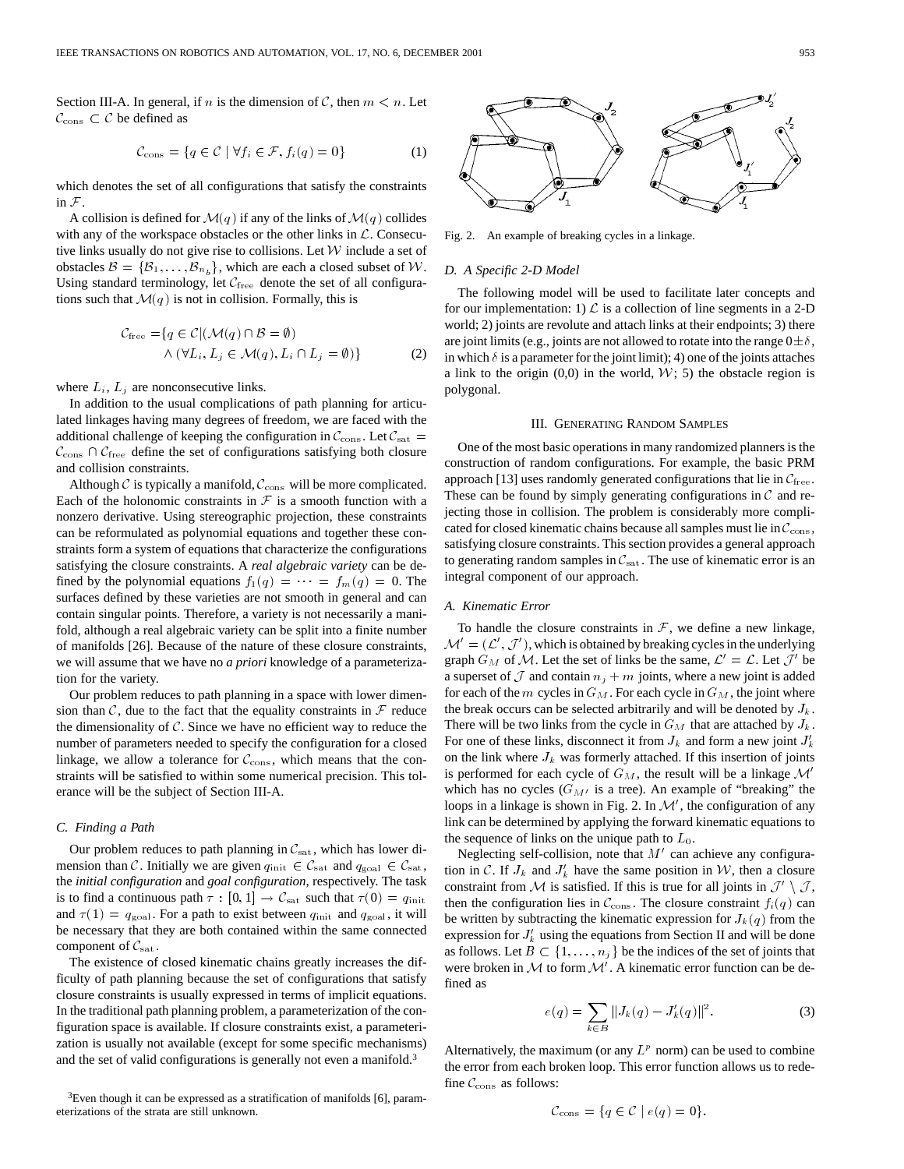Section III-A. In general, if n is the dimension of C, then  $m < n$ . Let  $\mathcal{C}_{\text{cons}} \subset \mathcal{C}$  be defined as

$$
\mathcal{C}_{\text{cons}} = \{ q \in \mathcal{C} \mid \forall f_i \in \mathcal{F}, f_i(q) = 0 \}
$$
 (1)

which denotes the set of all configurations that satisfy the constraints in  $\mathcal F$ .

A collision is defined for  $\mathcal{M}(q)$  if any of the links of  $\mathcal{M}(q)$  collides with any of the workspace obstacles or the other links in  $\mathcal{L}$ . Consecutive links usually do not give rise to collisions. Let W include a set of obstacles  $\mathcal{B} = {\mathcal{B}_1, \ldots, \mathcal{B}_{n_b}}$ , which are each a closed subset of W. Using standard terminology, let  $C_{\text{free}}$  denote the set of all configurations such that  $\mathcal{M}(q)$  is not in collision. Formally, this is

$$
C_{\text{free}} = \{ q \in C | (\mathcal{M}(q) \cap \mathcal{B} = \emptyset) \land (\forall L_i, L_j \in \mathcal{M}(q), L_i \cap L_j = \emptyset) \}
$$
(2)

where  $L_i$ ,  $L_j$  are nonconsecutive links.

In addition to the usual complications of path planning for articulated linkages having many degrees of freedom, we are faced with the additional challenge of keeping the configuration in  $C_{\text{cons}}$ . Let  $C_{\text{sat}} =$  $\mathcal{C}_{\text{cons}} \cap \mathcal{C}_{\text{free}}$  define the set of configurations satisfying both closure and collision constraints.

Although  $C$  is typically a manifold,  $C_{\text{cons}}$  will be more complicated. Each of the holonomic constraints in  $\mathcal F$  is a smooth function with a nonzero derivative. Using stereographic projection, these constraints can be reformulated as polynomial equations and together these constraints form a system of equations that characterize the configurations satisfying the closure constraints. A *real algebraic variety* can be defined by the polynomial equations  $f_1(q) = \cdots = f_m(q) = 0$ . The surfaces defined by these varieties are not smooth in general and can contain singular points. Therefore, a variety is not necessarily a manifold, although a real algebraic variety can be split into a finite number of manifolds [26]. Because of the nature of these closure constraints, we will assume that we have no *a priori* knowledge of a parameterization for the variety.

Our problem reduces to path planning in a space with lower dimension than  $\mathcal{C}$ , due to the fact that the equality constraints in  $\mathcal{F}$  reduce the dimensionality of  $C$ . Since we have no efficient way to reduce the number of parameters needed to specify the configuration for a closed linkage, we allow a tolerance for  $C_{\text{cons}}$ , which means that the constraints will be satisfied to within some numerical precision. This tolerance will be the subject of Section III-A.

# *C. Finding a Path*

Our problem reduces to path planning in  $C_{\text{sat}}$ , which has lower dimension than C. Initially we are given  $q_{\text{init}} \in C_{\text{sat}}$  and  $q_{\text{goal}} \in C_{\text{sat}}$ , the *initial configuration* and *goal configuration*, respectively. The task is to find a continuous path  $\tau : [0, 1] \rightarrow C_{\text{sat}}$  such that  $\tau(0) = q_{\text{init}}$ and  $\tau(1) = q_{\text{goal}}$ . For a path to exist between  $q_{\text{init}}$  and  $q_{\text{goal}}$ , it will be necessary that they are both contained within the same connected component of  $C_{\text{sat}}$ .

The existence of closed kinematic chains greatly increases the difficulty of path planning because the set of configurations that satisfy closure constraints is usually expressed in terms of implicit equations. In the traditional path planning problem, a parameterization of the configuration space is available. If closure constraints exist, a parameterization is usually not available (except for some specific mechanisms) and the set of valid configurations is generally not even a manifold.3

 $3$ Even though it can be expressed as a stratification of manifolds [6], parameterizations of the strata are still unknown.



Fig. 2. An example of breaking cycles in a linkage.

### *D. A Specific 2-D Model*

The following model will be used to facilitate later concepts and for our implementation: 1)  $\mathcal L$  is a collection of line segments in a 2-D world; 2) joints are revolute and attach links at their endpoints; 3) there are joint limits (e.g., joints are not allowed to rotate into the range  $0 \pm \delta$ , in which  $\delta$  is a parameter for the joint limit); 4) one of the joints attaches a link to the origin  $(0,0)$  in the world,  $W$ ; 5) the obstacle region is polygonal.

### III. GENERATING RANDOM SAMPLES

One of the most basic operations in many randomized planners is the construction of random configurations. For example, the basic PRM approach [13] uses randomly generated configurations that lie in  $C_{\text{free}}$ . These can be found by simply generating configurations in  $C$  and rejecting those in collision. The problem is considerably more complicated for closed kinematic chains because all samples must lie in  $\mathcal{C}_{\text{cons}}$ , satisfying closure constraints. This section provides a general approach to generating random samples in  $C_{\text{sat}}$ . The use of kinematic error is an integral component of our approach.

# *A. Kinematic Error*

To handle the closure constraints in  $F$ , we define a new linkage,  $\mathcal{M}' = (\mathcal{L}', \mathcal{J}')$ , which is obtained by breaking cycles in the underlying graph  $G_M$  of M. Let the set of links be the same,  $\mathcal{L}' = \mathcal{L}$ . Let  $\mathcal{J}'$  be a superset of  $\mathcal J$  and contain  $n_j + m$  joints, where a new joint is added for each of the m cycles in  $G_M$ . For each cycle in  $G_M$ , the joint where the break occurs can be selected arbitrarily and will be denoted by  $J_k$ . There will be two links from the cycle in  $G_M$  that are attached by  $J_k$ . For one of these links, disconnect it from  $J_k$  and form a new joint  $J'_k$ on the link where  $J_k$  was formerly attached. If this insertion of joints is performed for each cycle of  $G_M$ , the result will be a linkage  $\mathcal{M}'$ which has no cycles  $(G_M)$  is a tree). An example of "breaking" the loops in a linkage is shown in Fig. 2. In  $\mathcal{M}'$ , the configuration of any link can be determined by applying the forward kinematic equations to the sequence of links on the unique path to  $L_0$ .

Neglecting self-collision, note that  $M'$  can achieve any configuration in C. If  $J_k$  and  $J'_k$  have the same position in W, then a closure constraint from M is satisfied. If this is true for all joints in  $\mathcal{J}' \setminus \mathcal{J}$ , then the configuration lies in  $\mathcal{C}_{\text{cons}}$ . The closure constraint  $f_i(q)$  can be written by subtracting the kinematic expression for  $J_k(q)$  from the expression for  $J_k'$  using the equations from Section II and will be done as follows. Let  $B \subset \{1, \ldots, n_j\}$  be the indices of the set of joints that were broken in M to form  $\mathcal{M}'$ . A kinematic error function can be defined as

$$
e(q) = \sum_{k \in B} ||J_k(q) - J'_k(q)||^2.
$$
 (3)

Alternatively, the maximum (or any  $L^p$  norm) can be used to combine the error from each broken loop. This error function allows us to redefine  $\mathcal{C}_{\text{cons}}$  as follows:

$$
\mathcal{C}_{\text{cons}} = \{ q \in \mathcal{C} \mid e(q) = 0 \}.
$$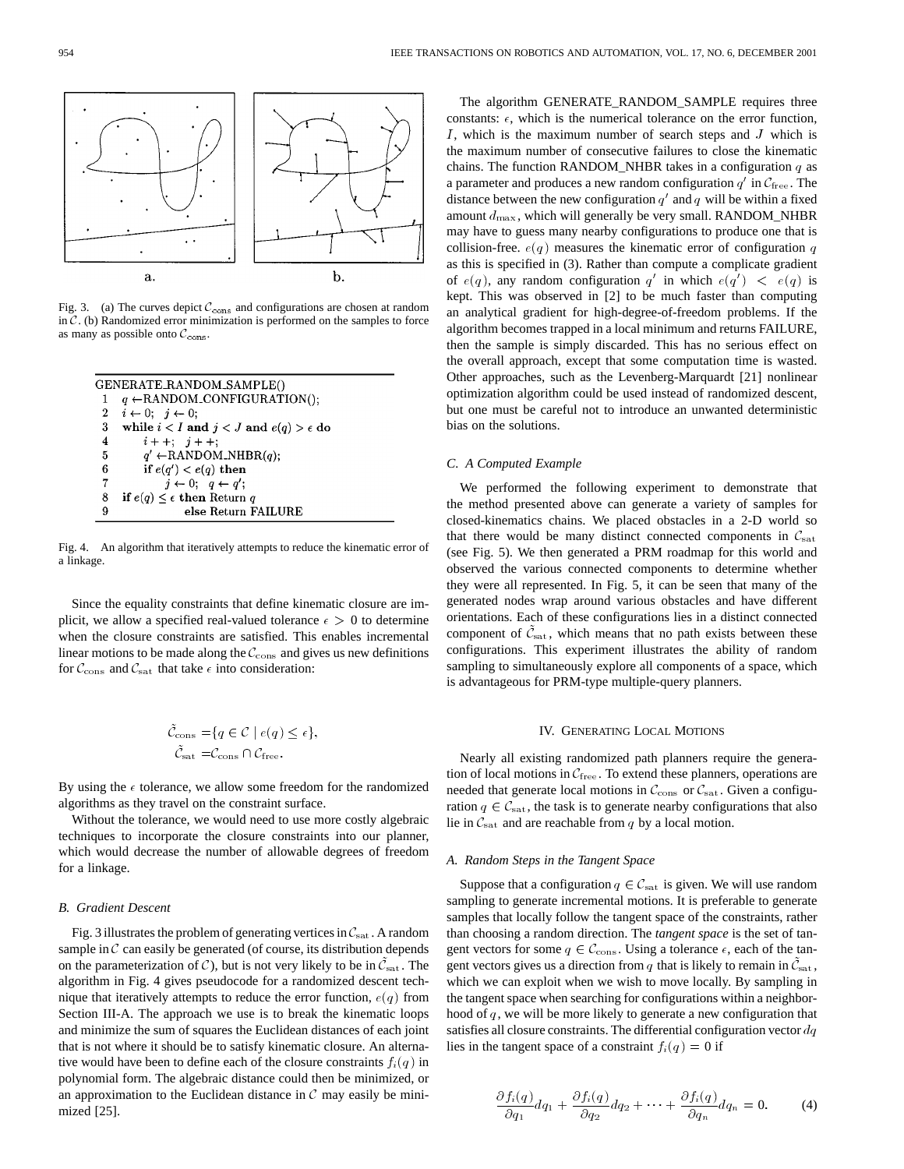

Fig. 3. (a) The curves depict  $C_{\text{cons}}$  and configurations are chosen at random in  $C$ . (b) Randomized error minimization is performed on the samples to force as many as possible onto  $C_{\rm cons}$ .

|   | GENERATE_RANDOM_SAMPLE()                           |
|---|----------------------------------------------------|
|   | $q \leftarrow$ RANDOM_CONFIGURATION();             |
|   | 2 $i \leftarrow 0$ ; $j \leftarrow 0$ ;            |
| 3 | while $i < I$ and $j < J$ and $e(q) > \epsilon$ do |
| 4 | $i + +$ ; $i + +$ ;                                |
| 5 | $q' \leftarrow$ RANDOM_NHBR $(q)$ :                |
| 6 | if $e(q') < e(q)$ then                             |
| 7 | $i \leftarrow 0$ : $q \leftarrow q'$ :             |
| 8 | if $e(q) \leq \epsilon$ then Return q              |
|   | else Return FAILURE                                |
|   |                                                    |

Fig. 4. An algorithm that iteratively attempts to reduce the kinematic error of a linkage.

Since the equality constraints that define kinematic closure are implicit, we allow a specified real-valued tolerance  $\epsilon > 0$  to determine when the closure constraints are satisfied. This enables incremental linear motions to be made along the  $C_{\text{cons}}$  and gives us new definitions for  $C_{\text{cons}}$  and  $C_{\text{sat}}$  that take  $\epsilon$  into consideration:

$$
\tilde{C}_{\text{cons}} = \{ q \in C \mid e(q) \le \epsilon \},
$$
  

$$
\tilde{C}_{\text{sat}} = C_{\text{cons}} \cap C_{\text{free}}.
$$

By using the  $\epsilon$  tolerance, we allow some freedom for the randomized algorithms as they travel on the constraint surface.

Without the tolerance, we would need to use more costly algebraic techniques to incorporate the closure constraints into our planner, which would decrease the number of allowable degrees of freedom for a linkage.

# *B. Gradient Descent*

Fig. 3 illustrates the problem of generating vertices in  $C_{\text{sat}}$ . A random sample in  $\mathcal C$  can easily be generated (of course, its distribution depends on the parameterization of C), but is not very likely to be in  $C_{\text{sat}}$ . The algorithm in Fig. 4 gives pseudocode for a randomized descent technique that iteratively attempts to reduce the error function,  $e(q)$  from Section III-A. The approach we use is to break the kinematic loops and minimize the sum of squares the Euclidean distances of each joint that is not where it should be to satisfy kinematic closure. An alternative would have been to define each of the closure constraints  $f_i(q)$  in polynomial form. The algebraic distance could then be minimized, or an approximation to the Euclidean distance in  $C$  may easily be minimized [25].

The algorithm GENERATE\_RANDOM\_SAMPLE requires three constants:  $\epsilon$ , which is the numerical tolerance on the error function, I, which is the maximum number of search steps and  $J$  which is the maximum number of consecutive failures to close the kinematic chains. The function RANDOM\_NHBR takes in a configuration  $q$  as a parameter and produces a new random configuration  $q'$  in  $\mathcal{C}_{\text{free}}$ . The distance between the new configuration  $q'$  and q will be within a fixed amount  $d_{\text{max}}$ , which will generally be very small. RANDOM\_NHBR may have to guess many nearby configurations to produce one that is collision-free.  $e(q)$  measures the kinematic error of configuration q as this is specified in (3). Rather than compute a complicate gradient of  $e(q)$ , any random configuration q' in which  $e(q') < e(q)$  is kept. This was observed in [2] to be much faster than computing an analytical gradient for high-degree-of-freedom problems. If the algorithm becomes trapped in a local minimum and returns FAILURE, then the sample is simply discarded. This has no serious effect on the overall approach, except that some computation time is wasted. Other approaches, such as the Levenberg-Marquardt [21] nonlinear optimization algorithm could be used instead of randomized descent, but one must be careful not to introduce an unwanted deterministic bias on the solutions.

## *C. A Computed Example*

We performed the following experiment to demonstrate that the method presented above can generate a variety of samples for closed-kinematics chains. We placed obstacles in a 2-D world so that there would be many distinct connected components in  $C_{\text{sat}}$ (see Fig. 5). We then generated a PRM roadmap for this world and observed the various connected components to determine whether they were all represented. In Fig. 5, it can be seen that many of the generated nodes wrap around various obstacles and have different orientations. Each of these configurations lies in a distinct connected component of  $\tilde{\mathcal{C}}_{\text{sat}}$ , which means that no path exists between these configurations. This experiment illustrates the ability of random sampling to simultaneously explore all components of a space, which is advantageous for PRM-type multiple-query planners.

## IV. GENERATING LOCAL MOTIONS

Nearly all existing randomized path planners require the generation of local motions in  $C_{\text{free}}$ . To extend these planners, operations are needed that generate local motions in  $\mathcal{C}_{\text{cons}}$  or  $\mathcal{C}_{\text{sat}}$ . Given a configuration  $q \in C_{\text{sat}}$ , the task is to generate nearby configurations that also lie in  $C_{\text{sat}}$  and are reachable from q by a local motion.

## *A. Random Steps in the Tangent Space*

Suppose that a configuration  $q \in \mathcal{C}_{\text{sat}}$  is given. We will use random sampling to generate incremental motions. It is preferable to generate samples that locally follow the tangent space of the constraints, rather than choosing a random direction. The *tangent space* is the set of tangent vectors for some  $q \in \mathcal{C}_{\text{cons}}$ . Using a tolerance  $\epsilon$ , each of the tangent vectors gives us a direction from  $q$  that is likely to remain in  $C_{\text{sat}}$ , which we can exploit when we wish to move locally. By sampling in the tangent space when searching for configurations within a neighborhood of  $q$ , we will be more likely to generate a new configuration that satisfies all closure constraints. The differential configuration vector  $dq$ lies in the tangent space of a constraint  $f_i(q) = 0$  if

$$
\frac{\partial f_i(q)}{\partial q_1} dq_1 + \frac{\partial f_i(q)}{\partial q_2} dq_2 + \dots + \frac{\partial f_i(q)}{\partial q_n} dq_n = 0.
$$
 (4)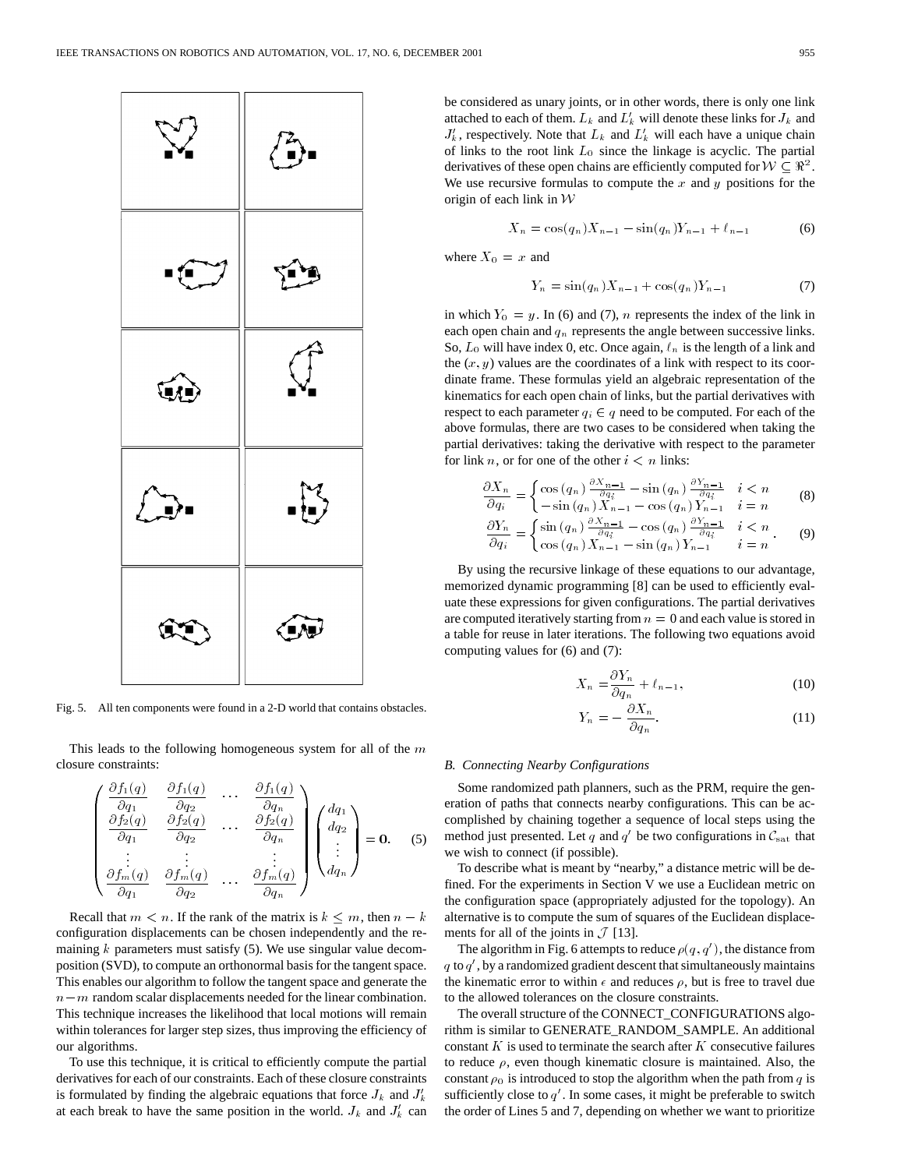

Fig. 5. All ten components were found in a 2-D world that contains obstacles.

This leads to the following homogeneous system for all of the  $m$ closure constraints:

$$
\begin{pmatrix}\n\frac{\partial f_1(q)}{\partial q_1} & \frac{\partial f_1(q)}{\partial q_2} & \cdots & \frac{\partial f_1(q)}{\partial q_n} \\
\frac{\partial f_2(q)}{\partial q_1} & \frac{\partial f_2(q)}{\partial q_2} & \cdots & \frac{\partial f_2(q)}{\partial q_n} \\
\vdots & \vdots & & \vdots \\
\frac{\partial f_m(q)}{\partial q_1} & \frac{\partial f_m(q)}{\partial q_2} & \cdots & \frac{\partial f_m(q)}{\partial q_n}\n\end{pmatrix}\n\begin{pmatrix}\ndq_1 \\
dq_2 \\
\vdots \\
dq_n\n\end{pmatrix} = \mathbf{0}.
$$
\n(5)

Recall that  $m < n$ . If the rank of the matrix is  $k \leq m$ , then  $n - k$ configuration displacements can be chosen independently and the remaining  $k$  parameters must satisfy (5). We use singular value decomposition (SVD), to compute an orthonormal basis for the tangent space. This enables our algorithm to follow the tangent space and generate the  $n-m$  random scalar displacements needed for the linear combination. This technique increases the likelihood that local motions will remain within tolerances for larger step sizes, thus improving the efficiency of our algorithms.

To use this technique, it is critical to efficiently compute the partial derivatives for each of our constraints. Each of these closure constraints is formulated by finding the algebraic equations that force  $J_k$  and  $J'_k$ at each break to have the same position in the world.  $J_k$  and  $J'_k$  can

$$
X_n = \cos(q_n)X_{n-1} - \sin(q_n)Y_{n-1} + \ell_{n-1}
$$
 (6)

where  $X_0 = x$  and

$$
Y_n = \sin(q_n)X_{n-1} + \cos(q_n)Y_{n-1}
$$
 (7)

in which  $Y_0 = y$ . In (6) and (7), *n* represents the index of the link in each open chain and  $q_n$  represents the angle between successive links. So,  $L_0$  will have index 0, etc. Once again,  $\ell_n$  is the length of a link and the  $(x, y)$  values are the coordinates of a link with respect to its coordinate frame. These formulas yield an algebraic representation of the kinematics for each open chain of links, but the partial derivatives with respect to each parameter  $q_i \in q$  need to be computed. For each of the above formulas, there are two cases to be considered when taking the partial derivatives: taking the derivative with respect to the parameter for link n, or for one of the other  $i < n$  links:

$$
\frac{\partial X_n}{\partial q_i} = \begin{cases} \cos\left(q_n\right) \frac{\partial X_{n-1}}{\partial q_i} - \sin\left(q_n\right) \frac{\partial Y_{n-1}}{\partial q_i} & i < n \\ -\sin\left(q_n\right) X_{n-1} - \cos\left(q_n\right) Y_{n-1} & i = n \end{cases} \tag{8}
$$

$$
\frac{\partial Y_n}{\partial q_i} = \begin{cases} \sin\left(q_n\right) \frac{\partial X_{n-1}}{\partial q_i} - \cos\left(q_n\right) \frac{\partial Y_{n-1}}{\partial q_i} & i < n \\ \cos\left(q_n\right) X_{n-1} - \sin\left(q_n\right) Y_{n-1} & i = n \end{cases} \tag{9}
$$

$$
\partial q_i \qquad \bigg( \cos \left( q_n \right) X_{n-1} - \sin \left( q_n \right) Y_{n-1} \qquad i = n \tag{9}
$$

By using the recursive linkage of these equations to our advantage, memorized dynamic programming [8] can be used to efficiently evaluate these expressions for given configurations. The partial derivatives are computed iteratively starting from  $n = 0$  and each value is stored in a table for reuse in later iterations. The following two equations avoid computing values for (6) and (7):

$$
X_n = \frac{\partial Y_n}{\partial q_n} + \ell_{n-1},\tag{10}
$$

$$
Y_n = -\frac{\partial X_n}{\partial q_n}.\tag{11}
$$

#### *B. Connecting Nearby Configurations*

Some randomized path planners, such as the PRM, require the generation of paths that connects nearby configurations. This can be accomplished by chaining together a sequence of local steps using the method just presented. Let q and  $q'$  be two configurations in  $C_{\text{sat}}$  that we wish to connect (if possible).

To describe what is meant by "nearby," a distance metric will be defined. For the experiments in Section V we use a Euclidean metric on the configuration space (appropriately adjusted for the topology). An alternative is to compute the sum of squares of the Euclidean displacements for all of the joints in  $\mathcal{J}$  [13].

The algorithm in Fig. 6 attempts to reduce  $\rho(q, q')$ , the distance from q to  $q'$ , by a randomized gradient descent that simultaneously maintains the kinematic error to within  $\epsilon$  and reduces  $\rho$ , but is free to travel due to the allowed tolerances on the closure constraints.

The overall structure of the CONNECT\_CONFIGURATIONS algorithm is similar to GENERATE\_RANDOM\_SAMPLE. An additional constant  $K$  is used to terminate the search after  $K$  consecutive failures to reduce  $\rho$ , even though kinematic closure is maintained. Also, the constant  $\rho_0$  is introduced to stop the algorithm when the path from q is sufficiently close to  $q'$ . In some cases, it might be preferable to switch the order of Lines 5 and 7, depending on whether we want to prioritize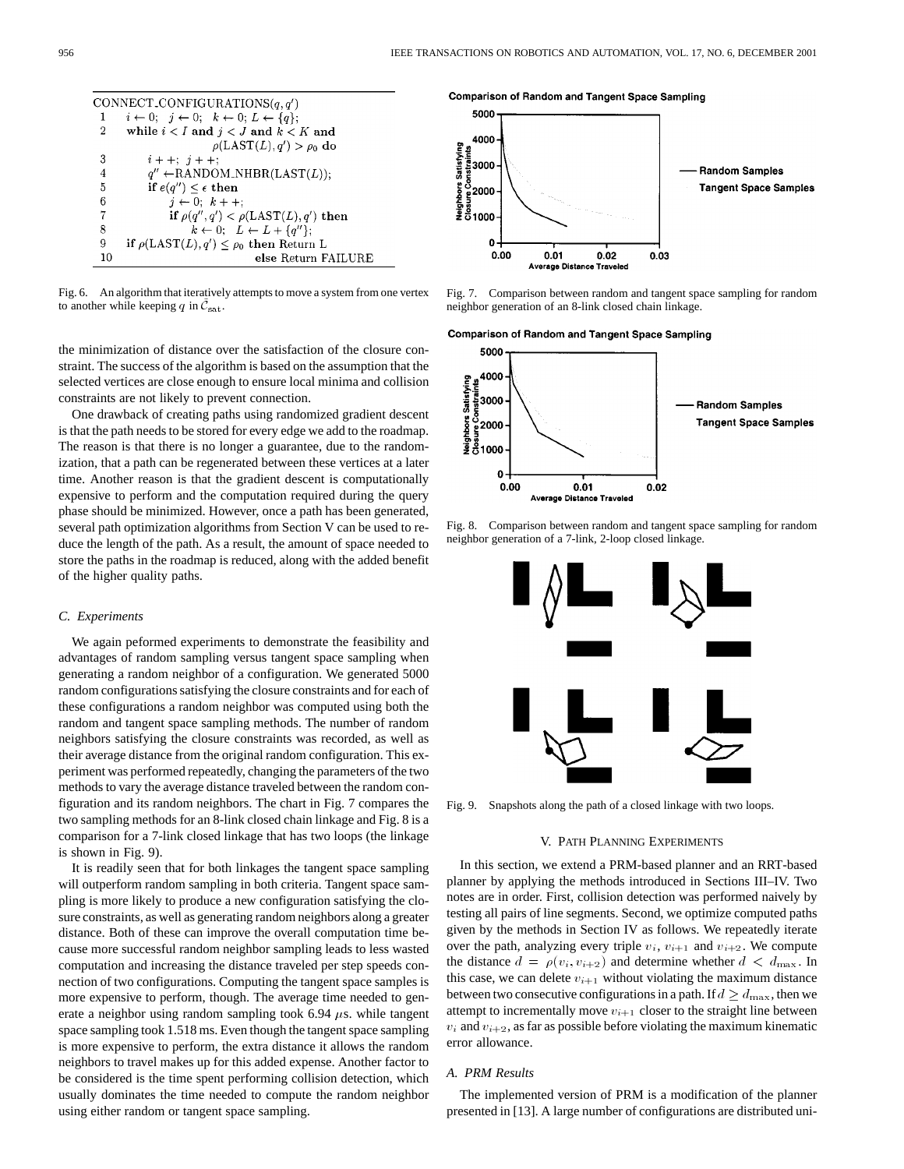|    | $i \leftarrow 0; \quad j \leftarrow 0; \quad k \leftarrow 0; \ L \leftarrow \{q\};$ |
|----|-------------------------------------------------------------------------------------|
| 2  | while $i < I$ and $j < J$ and $k < K$ and                                           |
|    | $\rho(LAST(L), q') > \rho_0$ do                                                     |
| 3  | $i + +$ ; $j + +$ ;                                                                 |
| 4  | $q'' \leftarrow$ RANDOM_NHBR(LAST( <i>L</i> ));                                     |
| 5  | if $e(q'') < \epsilon$ then                                                         |
| 6  | $i \leftarrow 0$ ; $k + +$ ;                                                        |
| 7  | if $\rho(q'', q') < \rho(LAST(L), q')$ then                                         |
| 8  | $k \leftarrow 0; \quad L \leftarrow L + \{q''\};$                                   |
| 9  | if $\rho(LAST(L), q') \leq \rho_0$ then Return L                                    |
| 10 | else Return FAILURE                                                                 |

Fig. 6. An algorithm that iteratively attempts to move a system from one vertex

the minimization of distance over the satisfaction of the closure constraint. The success of the algorithm is based on the assumption that the selected vertices are close enough to ensure local minima and collision constraints are not likely to prevent connection.

One drawback of creating paths using randomized gradient descent is that the path needs to be stored for every edge we add to the roadmap. The reason is that there is no longer a guarantee, due to the randomization, that a path can be regenerated between these vertices at a later time. Another reason is that the gradient descent is computationally expensive to perform and the computation required during the query phase should be minimized. However, once a path has been generated, several path optimization algorithms from Section V can be used to reduce the length of the path. As a result, the amount of space needed to store the paths in the roadmap is reduced, along with the added benefit of the higher quality paths.

## *C. Experiments*

We again peformed experiments to demonstrate the feasibility and advantages of random sampling versus tangent space sampling when generating a random neighbor of a configuration. We generated 5000 random configurations satisfying the closure constraints and for each of these configurations a random neighbor was computed using both the random and tangent space sampling methods. The number of random neighbors satisfying the closure constraints was recorded, as well as their average distance from the original random configuration. This experiment was performed repeatedly, changing the parameters of the two methods to vary the average distance traveled between the random configuration and its random neighbors. The chart in Fig. 7 compares the two sampling methods for an 8-link closed chain linkage and Fig. 8 is a comparison for a 7-link closed linkage that has two loops (the linkage is shown in Fig. 9).

It is readily seen that for both linkages the tangent space sampling will outperform random sampling in both criteria. Tangent space sampling is more likely to produce a new configuration satisfying the closure constraints, as well as generating random neighbors along a greater distance. Both of these can improve the overall computation time because more successful random neighbor sampling leads to less wasted computation and increasing the distance traveled per step speeds connection of two configurations. Computing the tangent space samples is more expensive to perform, though. The average time needed to generate a neighbor using random sampling took 6.94  $\mu$ s. while tangent space sampling took 1.518 ms. Even though the tangent space sampling is more expensive to perform, the extra distance it allows the random neighbors to travel makes up for this added expense. Another factor to be considered is the time spent performing collision detection, which usually dominates the time needed to compute the random neighbor using either random or tangent space sampling.

**Comparison of Random and Tangent Space Sampling** 



Fig. 7. Comparison between random and tangent space sampling for random neighbor generation of an 8-link closed chain linkage.

#### Comparison of Random and Tangent Space Sampling



Fig. 8. Comparison between random and tangent space sampling for random neighbor generation of a 7-link, 2-loop closed linkage.



Fig. 9. Snapshots along the path of a closed linkage with two loops.

### V. PATH PLANNING EXPERIMENTS

In this section, we extend a PRM-based planner and an RRT-based planner by applying the methods introduced in Sections III–IV. Two notes are in order. First, collision detection was performed naively by testing all pairs of line segments. Second, we optimize computed paths given by the methods in Section IV as follows. We repeatedly iterate over the path, analyzing every triple  $v_i$ ,  $v_{i+1}$  and  $v_{i+2}$ . We compute the distance  $d = \rho(v_i, v_{i+2})$  and determine whether  $d < d_{\text{max}}$ . In this case, we can delete  $v_{i+1}$  without violating the maximum distance between two consecutive configurations in a path. If  $d \geq d_{\text{max}}$ , then we attempt to incrementally move  $v_{i+1}$  closer to the straight line between  $v_i$  and  $v_{i+2}$ , as far as possible before violating the maximum kinematic error allowance.

# *A. PRM Results*

The implemented version of PRM is a modification of the planner presented in [13]. A large number of configurations are distributed uni-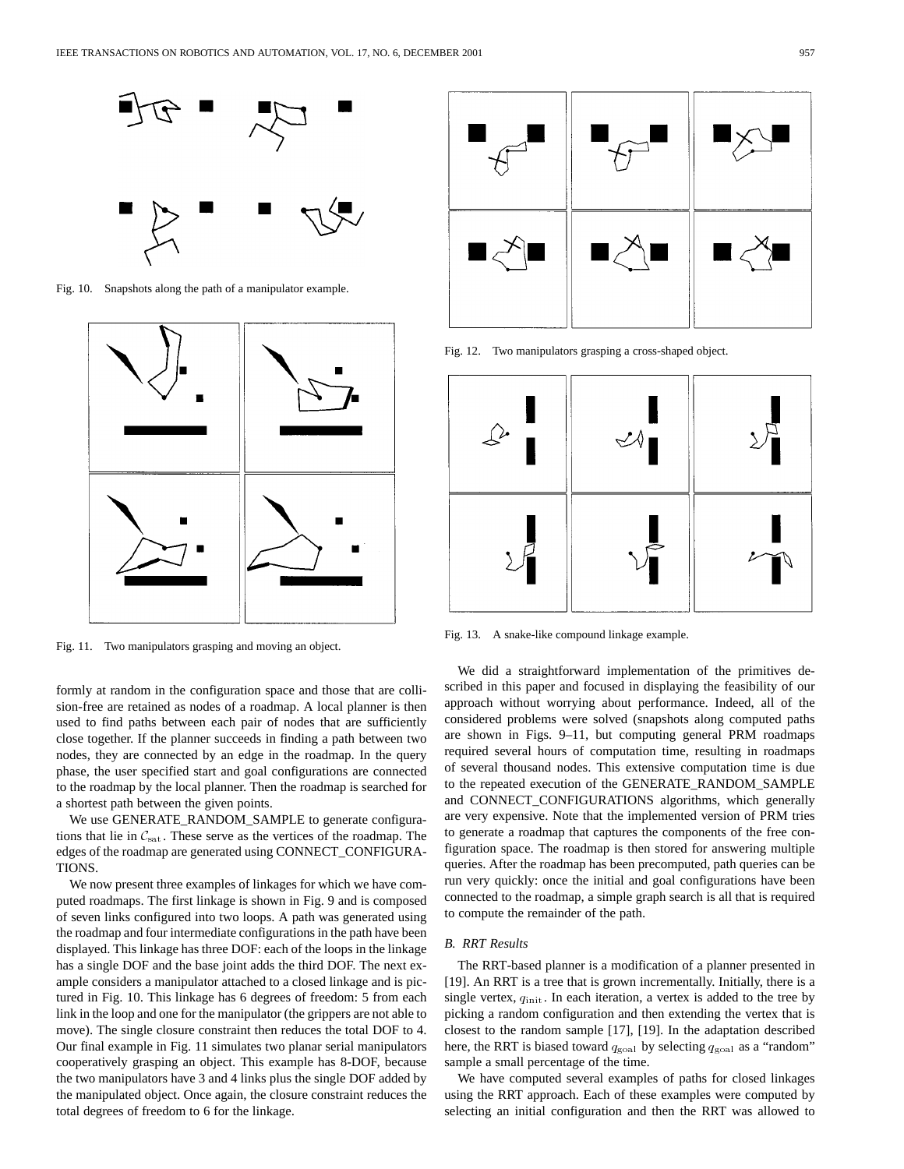

Fig. 10. Snapshots along the path of a manipulator example.



Fig. 11. Two manipulators grasping and moving an object.

formly at random in the configuration space and those that are collision-free are retained as nodes of a roadmap. A local planner is then used to find paths between each pair of nodes that are sufficiently close together. If the planner succeeds in finding a path between two nodes, they are connected by an edge in the roadmap. In the query phase, the user specified start and goal configurations are connected to the roadmap by the local planner. Then the roadmap is searched for a shortest path between the given points.

We use GENERATE\_RANDOM\_SAMPLE to generate configurations that lie in  $C_{\text{sat}}$ . These serve as the vertices of the roadmap. The edges of the roadmap are generated using CONNECT\_CONFIGURA-TIONS.

We now present three examples of linkages for which we have computed roadmaps. The first linkage is shown in Fig. 9 and is composed of seven links configured into two loops. A path was generated using the roadmap and four intermediate configurations in the path have been displayed. This linkage has three DOF: each of the loops in the linkage has a single DOF and the base joint adds the third DOF. The next example considers a manipulator attached to a closed linkage and is pictured in Fig. 10. This linkage has 6 degrees of freedom: 5 from each link in the loop and one for the manipulator (the grippers are not able to move). The single closure constraint then reduces the total DOF to 4. Our final example in Fig. 11 simulates two planar serial manipulators cooperatively grasping an object. This example has 8-DOF, because the two manipulators have 3 and 4 links plus the single DOF added by the manipulated object. Once again, the closure constraint reduces the total degrees of freedom to 6 for the linkage.



Fig. 12. Two manipulators grasping a cross-shaped object.



Fig. 13. A snake-like compound linkage example.

We did a straightforward implementation of the primitives described in this paper and focused in displaying the feasibility of our approach without worrying about performance. Indeed, all of the considered problems were solved (snapshots along computed paths are shown in Figs. 9–11, but computing general PRM roadmaps required several hours of computation time, resulting in roadmaps of several thousand nodes. This extensive computation time is due to the repeated execution of the GENERATE\_RANDOM\_SAMPLE and CONNECT\_CONFIGURATIONS algorithms, which generally are very expensive. Note that the implemented version of PRM tries to generate a roadmap that captures the components of the free configuration space. The roadmap is then stored for answering multiple queries. After the roadmap has been precomputed, path queries can be run very quickly: once the initial and goal configurations have been connected to the roadmap, a simple graph search is all that is required to compute the remainder of the path.

# *B. RRT Results*

The RRT-based planner is a modification of a planner presented in [19]. An RRT is a tree that is grown incrementally. Initially, there is a single vertex,  $q_{\text{init}}$ . In each iteration, a vertex is added to the tree by picking a random configuration and then extending the vertex that is closest to the random sample [17], [19]. In the adaptation described here, the RRT is biased toward  $q_{\text{goal}}$  by selecting  $q_{\text{goal}}$  as a "random" sample a small percentage of the time.

We have computed several examples of paths for closed linkages using the RRT approach. Each of these examples were computed by selecting an initial configuration and then the RRT was allowed to